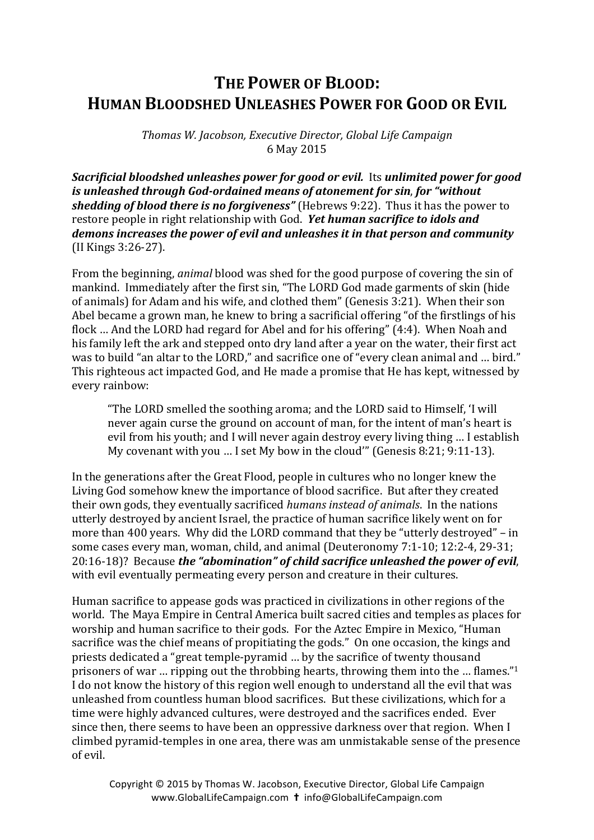## **THE POWER OF BLOOD: HUMAN BLOODSHED UNLEASHES POWER FOR GOOD OR EVIL**

*Thomas W. Jacobson, Executive Director, Global Life Campaign* 6 May 2015

**Sacrificial bloodshed unleashes power for good or evil.** Its unlimited power for good *is* unleashed through God-ordained means of atonement for sin, for "without *shedding of blood there is no forgiveness*" (Hebrews 9:22). Thus it has the power to restore people in right relationship with God. Yet human sacrifice to *idols* and demons increases the power of evil and unleashes it in that person and community (II Kings 3:26-27).

From the beginning, *animal* blood was shed for the good purpose of covering the sin of mankind. Immediately after the first sin, "The LORD God made garments of skin (hide of animals) for Adam and his wife, and clothed them" (Genesis 3:21). When their son Abel became a grown man, he knew to bring a sacrificial offering "of the firstlings of his flock ... And the LORD had regard for Abel and for his offering" (4:4). When Noah and his family left the ark and stepped onto dry land after a year on the water, their first act was to build "an altar to the LORD," and sacrifice one of "every clean animal and ... bird." This righteous act impacted God, and He made a promise that He has kept, witnessed by every rainbow:

"The LORD smelled the soothing aroma; and the LORD said to Himself, 'I will never again curse the ground on account of man, for the intent of man's heart is evil from his youth; and I will never again destroy every living thing ... I establish My covenant with you ... I set My bow in the cloud'" (Genesis 8:21; 9:11-13).

In the generations after the Great Flood, people in cultures who no longer knew the Living God somehow knew the importance of blood sacrifice. But after they created their own gods, they eventually sacrificed *humans instead of animals*. In the nations utterly destroyed by ancient Israel, the practice of human sacrifice likely went on for more than 400 years. Why did the LORD command that they be "utterly destroyed" – in some cases every man, woman, child, and animal (Deuteronomy 7:1-10; 12:2-4, 29-31; 20:16-18)? Because *the "abomination" of child sacrifice unleashed the power of evil*, with evil eventually permeating every person and creature in their cultures.

Human sacrifice to appease gods was practiced in civilizations in other regions of the world. The Maya Empire in Central America built sacred cities and temples as places for worship and human sacrifice to their gods. For the Aztec Empire in Mexico, "Human sacrifice was the chief means of propitiating the gods." On one occasion, the kings and priests dedicated a "great temple-pyramid ... by the sacrifice of twenty thousand prisoners of war ... ripping out the throbbing hearts, throwing them into the ... flames."<sup>1</sup> I do not know the history of this region well enough to understand all the evil that was unleashed from countless human blood sacrifices. But these civilizations, which for a time were highly advanced cultures, were destroyed and the sacrifices ended. Ever since then, there seems to have been an oppressive darkness over that region. When I climbed pyramid-temples in one area, there was am unmistakable sense of the presence of evil.